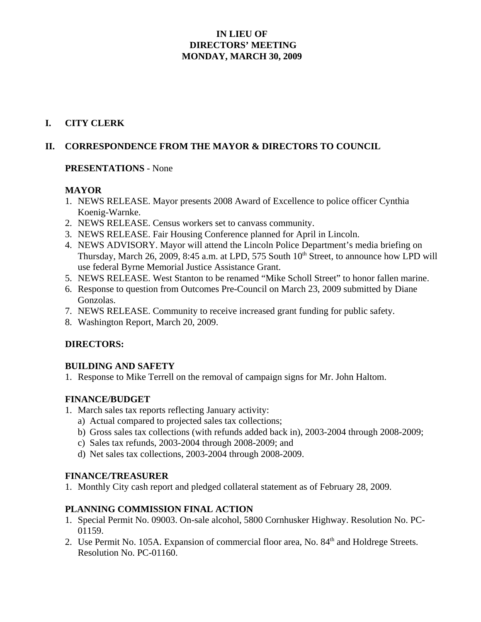## **IN LIEU OF DIRECTORS' MEETING MONDAY, MARCH 30, 2009**

### **I. CITY CLERK**

## **II. CORRESPONDENCE FROM THE MAYOR & DIRECTORS TO COUNCIL**

#### **PRESENTATIONS** - None

### **MAYOR**

- 1. NEWS RELEASE. Mayor presents 2008 Award of Excellence to police officer Cynthia Koenig-Warnke.
- 2. NEWS RELEASE. Census workers set to canvass community.
- 3. NEWS RELEASE. Fair Housing Conference planned for April in Lincoln.
- 4. NEWS ADVISORY. Mayor will attend the Lincoln Police Department's media briefing on Thursday, March 26, 2009, 8:45 a.m. at LPD, 575 South 10<sup>th</sup> Street, to announce how LPD will use federal Byrne Memorial Justice Assistance Grant.
- 5. NEWS RELEASE. West Stanton to be renamed "Mike Scholl Street" to honor fallen marine.
- 6. Response to question from Outcomes Pre-Council on March 23, 2009 submitted by Diane Gonzolas.
- 7. NEWS RELEASE. Community to receive increased grant funding for public safety.
- 8. Washington Report, March 20, 2009.

### **DIRECTORS:**

#### **BUILDING AND SAFETY**

1. Response to Mike Terrell on the removal of campaign signs for Mr. John Haltom.

### **FINANCE/BUDGET**

- 1. March sales tax reports reflecting January activity:
	- a) Actual compared to projected sales tax collections;
	- b) Gross sales tax collections (with refunds added back in), 2003-2004 through 2008-2009;
	- c) Sales tax refunds, 2003-2004 through 2008-2009; and
	- d) Net sales tax collections, 2003-2004 through 2008-2009.

### **FINANCE/TREASURER**

1. Monthly City cash report and pledged collateral statement as of February 28, 2009.

### **PLANNING COMMISSION FINAL ACTION**

- 1. Special Permit No. 09003. On-sale alcohol, 5800 Cornhusker Highway. Resolution No. PC-01159.
- 2. Use Permit No. 105A. Expansion of commercial floor area, No. 84<sup>th</sup> and Holdrege Streets. Resolution No. PC-01160.